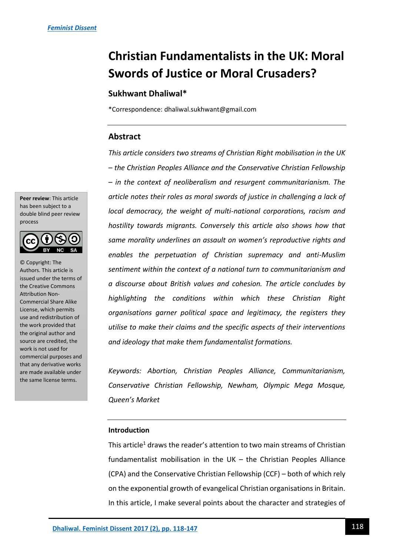# **Christian Fundamentalists in the UK: Moral Swords of Justice or Moral Crusaders?**

# **Sukhwant Dhaliwal\***

\*Correspondence: dhaliwal.sukhwant@gmail.com

## **Abstract**

*This article considers two streams of Christian Right mobilisation in the UK – the Christian Peoples Alliance and the Conservative Christian Fellowship – in the context of neoliberalism and resurgent communitarianism. The article notes their roles as moral swords of justice in challenging a lack of local democracy, the weight of multi-national corporations, racism and hostility towards migrants. Conversely this article also shows how that same morality underlines an assault on women's reproductive rights and enables the perpetuation of Christian supremacy and anti-Muslim sentiment within the context of a national turn to communitarianism and a discourse about British values and cohesion. The article concludes by highlighting the conditions within which these Christian Right organisations garner political space and legitimacy, the registers they utilise to make their claims and the specific aspects of their interventions and ideology that make them fundamentalist formations.* 

*Keywords: Abortion, Christian Peoples Alliance, Communitarianism, Conservative Christian Fellowship, Newham, Olympic Mega Mosque, Queen's Market*

### **Introduction**

This article<sup>1</sup> draws the reader's attention to two main streams of Christian fundamentalist mobilisation in the UK – the Christian Peoples Alliance (CPA) and the Conservative Christian Fellowship (CCF) – both of which rely on the exponential growth of evangelical Christian organisations in Britain. In this article, I make several points about the character and strategies of

**Peer review**: This article has been subject to a double blind peer review process



© Copyright: The Authors. This article is issued under the terms of the Creative Commons Attribution Non-Commercial Share Alike License, which permits use and redistribution of the work provided that the original author and source are credited, the work is not used for commercial purposes and that any derivative works are made available under the same license terms.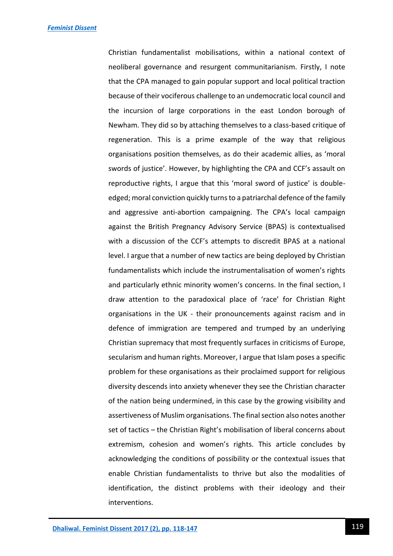Christian fundamentalist mobilisations, within a national context of neoliberal governance and resurgent communitarianism. Firstly, I note that the CPA managed to gain popular support and local political traction because of their vociferous challenge to an undemocratic local council and the incursion of large corporations in the east London borough of Newham. They did so by attaching themselves to a class-based critique of regeneration. This is a prime example of the way that religious organisations position themselves, as do their academic allies, as 'moral swords of justice'. However, by highlighting the CPA and CCF's assault on reproductive rights, I argue that this 'moral sword of justice' is doubleedged; moral conviction quickly turns to a patriarchal defence of the family and aggressive anti-abortion campaigning. The CPA's local campaign against the British Pregnancy Advisory Service (BPAS) is contextualised with a discussion of the CCF's attempts to discredit BPAS at a national level. I argue that a number of new tactics are being deployed by Christian fundamentalists which include the instrumentalisation of women's rights and particularly ethnic minority women's concerns. In the final section, I draw attention to the paradoxical place of 'race' for Christian Right organisations in the UK - their pronouncements against racism and in defence of immigration are tempered and trumped by an underlying Christian supremacy that most frequently surfaces in criticisms of Europe, secularism and human rights. Moreover, I argue that Islam poses a specific problem for these organisations as their proclaimed support for religious diversity descends into anxiety whenever they see the Christian character of the nation being undermined, in this case by the growing visibility and assertiveness of Muslim organisations. The final section also notes another set of tactics – the Christian Right's mobilisation of liberal concerns about extremism, cohesion and women's rights. This article concludes by acknowledging the conditions of possibility or the contextual issues that enable Christian fundamentalists to thrive but also the modalities of identification, the distinct problems with their ideology and their interventions.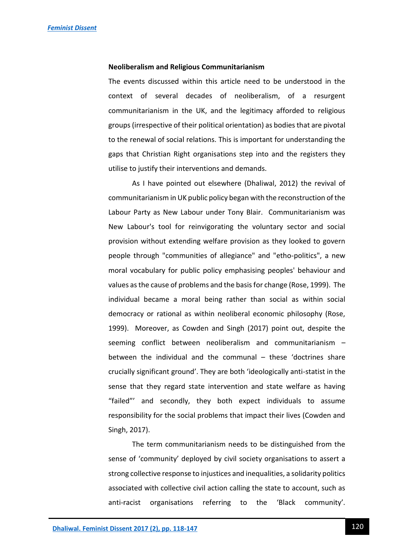#### **Neoliberalism and Religious Communitarianism**

The events discussed within this article need to be understood in the context of several decades of neoliberalism, of a resurgent communitarianism in the UK, and the legitimacy afforded to religious groups (irrespective of their political orientation) as bodies that are pivotal to the renewal of social relations. This is important for understanding the gaps that Christian Right organisations step into and the registers they utilise to justify their interventions and demands.

As I have pointed out elsewhere (Dhaliwal, 2012) the revival of communitarianism in UK public policy began with the reconstruction of the Labour Party as New Labour under Tony Blair. Communitarianism was New Labour's tool for reinvigorating the voluntary sector and social provision without extending welfare provision as they looked to govern people through "communities of allegiance" and "etho-politics", a new moral vocabulary for public policy emphasising peoples' behaviour and values as the cause of problems and the basis for change (Rose, 1999). The individual became a moral being rather than social as within social democracy or rational as within neoliberal economic philosophy (Rose, 1999). Moreover, as Cowden and Singh (2017) point out, despite the seeming conflict between neoliberalism and communitarianism – between the individual and the communal – these 'doctrines share crucially significant ground'. They are both 'ideologically anti-statist in the sense that they regard state intervention and state welfare as having "failed"' and secondly, they both expect individuals to assume responsibility for the social problems that impact their lives (Cowden and Singh, 2017).

The term communitarianism needs to be distinguished from the sense of 'community' deployed by civil society organisations to assert a strong collective response to injustices and inequalities, a solidarity politics associated with collective civil action calling the state to account, such as anti-racist organisations referring to the 'Black community'.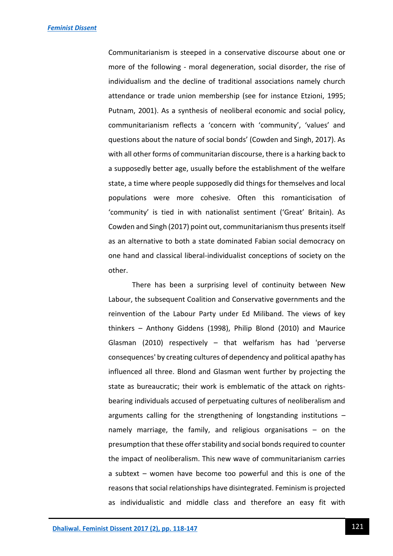Communitarianism is steeped in a conservative discourse about one or more of the following - moral degeneration, social disorder, the rise of individualism and the decline of traditional associations namely church attendance or trade union membership (see for instance Etzioni, 1995; Putnam, 2001). As a synthesis of neoliberal economic and social policy, communitarianism reflects a 'concern with 'community', 'values' and questions about the nature of social bonds' (Cowden and Singh, 2017). As with all other forms of communitarian discourse, there is a harking back to a supposedly better age, usually before the establishment of the welfare state, a time where people supposedly did things for themselves and local populations were more cohesive. Often this romanticisation of 'community' is tied in with nationalist sentiment ('Great' Britain). As Cowden and Singh (2017) point out, communitarianism thus presents itself as an alternative to both a state dominated Fabian social democracy on one hand and classical liberal-individualist conceptions of society on the other.

There has been a surprising level of continuity between New Labour, the subsequent Coalition and Conservative governments and the reinvention of the Labour Party under Ed Miliband. The views of key thinkers – Anthony Giddens (1998), Philip Blond (2010) and Maurice Glasman (2010) respectively – that welfarism has had 'perverse consequences' by creating cultures of dependency and political apathy has influenced all three. Blond and Glasman went further by projecting the state as bureaucratic; their work is emblematic of the attack on rightsbearing individuals accused of perpetuating cultures of neoliberalism and arguments calling for the strengthening of longstanding institutions – namely marriage, the family, and religious organisations – on the presumption that these offer stability and social bonds required to counter the impact of neoliberalism. This new wave of communitarianism carries a subtext – women have become too powerful and this is one of the reasons that social relationships have disintegrated. Feminism is projected as individualistic and middle class and therefore an easy fit with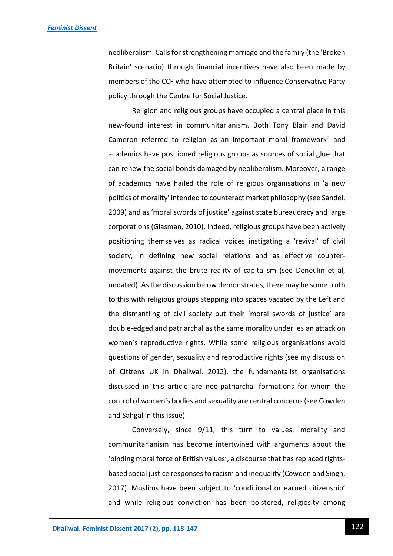neoliberalism. Calls for strengthening marriage and the family (the 'Broken Britain' scenario) through financial incentives have also been made by members of the CCF who have attempted to influence Conservative Party policy through the Centre for Social Justice.

Religion and religious groups have occupied a central place in this new-found interest in communitarianism. Both Tony Blair and David Cameron referred to religion as an important moral framework<sup>2</sup> and academics have positioned religious groups as sources of social glue that can renew the social bonds damaged by neoliberalism. Moreover, a range of academics have hailed the role of religious organisations in 'a new politics of morality' intended to counteract market philosophy (see Sandel, 2009) and as 'moral swords of justice' against state bureaucracy and large corporations (Glasman, 2010). Indeed, religious groups have been actively positioning themselves as radical voices instigating a 'revival' of civil society, in defining new social relations and as effective countermovements against the brute reality of capitalism (see Deneulin et al, undated). As the discussion below demonstrates, there may be some truth to this with religious groups stepping into spaces vacated by the Left and the dismantling of civil society but their 'moral swords of justice' are double-edged and patriarchal as the same morality underlies an attack on women's reproductive rights. While some religious organisations avoid questions of gender, sexuality and reproductive rights (see my discussion of Citizens UK in Dhaliwal, 2012), the fundamentalist organisations discussed in this article are neo-patriarchal formations for whom the control of women's bodies and sexuality are central concerns (see Cowden and Sahgal in this Issue).

Conversely, since 9/11, this turn to values, morality and communitarianism has become intertwined with arguments about the 'binding moral force of British values', a discourse that has replaced rightsbased social justice responses to racism and inequality (Cowden and Singh, 2017). Muslims have been subject to 'conditional or earned citizenship' and while religious conviction has been bolstered, religiosity among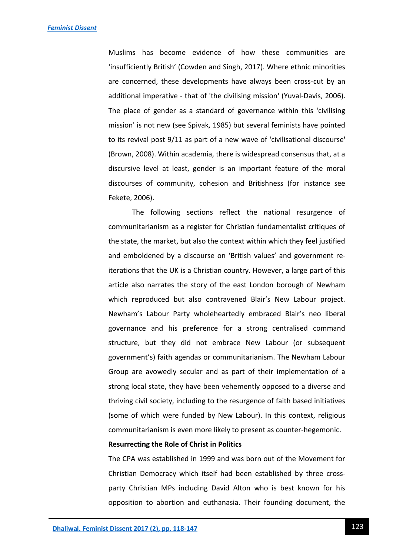Muslims has become evidence of how these communities are 'insufficiently British' (Cowden and Singh, 2017). Where ethnic minorities are concerned, these developments have always been cross-cut by an additional imperative - that of 'the civilising mission' (Yuval-Davis, 2006). The place of gender as a standard of governance within this 'civilising mission' is not new (see Spivak, 1985) but several feminists have pointed to its revival post 9/11 as part of a new wave of 'civilisational discourse' (Brown, 2008). Within academia, there is widespread consensus that, at a discursive level at least, gender is an important feature of the moral discourses of community, cohesion and Britishness (for instance see Fekete, 2006).

The following sections reflect the national resurgence of communitarianism as a register for Christian fundamentalist critiques of the state, the market, but also the context within which they feel justified and emboldened by a discourse on 'British values' and government reiterations that the UK is a Christian country. However, a large part of this article also narrates the story of the east London borough of Newham which reproduced but also contravened Blair's New Labour project. Newham's Labour Party wholeheartedly embraced Blair's neo liberal governance and his preference for a strong centralised command structure, but they did not embrace New Labour (or subsequent government's) faith agendas or communitarianism. The Newham Labour Group are avowedly secular and as part of their implementation of a strong local state, they have been vehemently opposed to a diverse and thriving civil society, including to the resurgence of faith based initiatives (some of which were funded by New Labour). In this context, religious communitarianism is even more likely to present as counter-hegemonic.

#### **Resurrecting the Role of Christ in Politics**

The CPA was established in 1999 and was born out of the Movement for Christian Democracy which itself had been established by three crossparty Christian MPs including David Alton who is best known for his opposition to abortion and euthanasia. Their founding document, the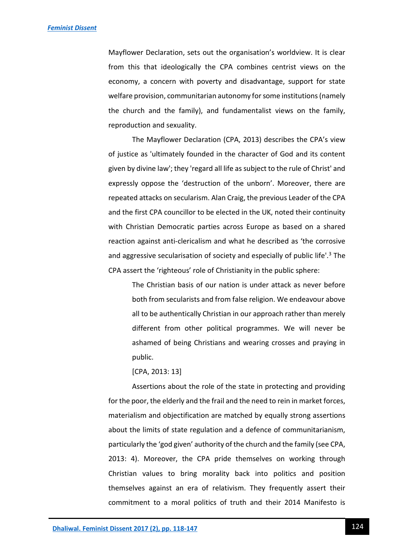Mayflower Declaration, sets out the organisation's worldview. It is clear from this that ideologically the CPA combines centrist views on the economy, a concern with poverty and disadvantage, support for state welfare provision, communitarian autonomy for some institutions (namely the church and the family), and fundamentalist views on the family, reproduction and sexuality.

The Mayflower Declaration (CPA, 2013) describes the CPA's view of justice as 'ultimately founded in the character of God and its content given by divine law'; they 'regard all life as subject to the rule of Christ' and expressly oppose the 'destruction of the unborn'. Moreover, there are repeated attacks on secularism. Alan Craig, the previous Leader of the CPA and the first CPA councillor to be elected in the UK, noted their continuity with Christian Democratic parties across Europe as based on a shared reaction against anti-clericalism and what he described as 'the corrosive and aggressive secularisation of society and especially of public life'.<sup>3</sup> The CPA assert the 'righteous' role of Christianity in the public sphere:

The Christian basis of our nation is under attack as never before both from secularists and from false religion. We endeavour above all to be authentically Christian in our approach rather than merely different from other political programmes. We will never be ashamed of being Christians and wearing crosses and praying in public.

#### [CPA, 2013: 13]

Assertions about the role of the state in protecting and providing for the poor, the elderly and the frail and the need to rein in market forces, materialism and objectification are matched by equally strong assertions about the limits of state regulation and a defence of communitarianism, particularly the 'god given' authority of the church and the family (see CPA, 2013: 4). Moreover, the CPA pride themselves on working through Christian values to bring morality back into politics and position themselves against an era of relativism. They frequently assert their commitment to a moral politics of truth and their 2014 Manifesto is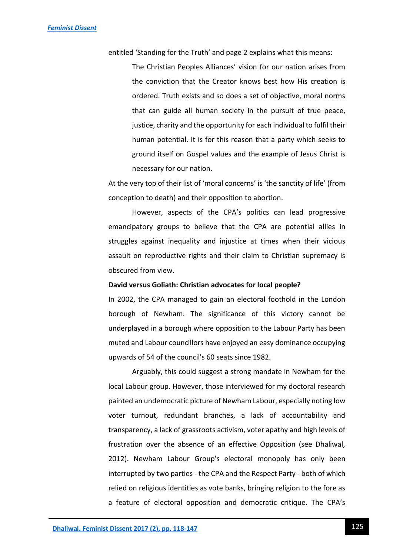entitled 'Standing for the Truth' and page 2 explains what this means:

The Christian Peoples Alliances' vision for our nation arises from the conviction that the Creator knows best how His creation is ordered. Truth exists and so does a set of objective, moral norms that can guide all human society in the pursuit of true peace, justice, charity and the opportunity for each individual to fulfil their human potential. It is for this reason that a party which seeks to ground itself on Gospel values and the example of Jesus Christ is necessary for our nation.

At the very top of their list of 'moral concerns' is 'the sanctity of life' (from conception to death) and their opposition to abortion.

However, aspects of the CPA's politics can lead progressive emancipatory groups to believe that the CPA are potential allies in struggles against inequality and injustice at times when their vicious assault on reproductive rights and their claim to Christian supremacy is obscured from view.

#### **David versus Goliath: Christian advocates for local people?**

In 2002, the CPA managed to gain an electoral foothold in the London borough of Newham. The significance of this victory cannot be underplayed in a borough where opposition to the Labour Party has been muted and Labour councillors have enjoyed an easy dominance occupying upwards of 54 of the council's 60 seats since 1982.

Arguably, this could suggest a strong mandate in Newham for the local Labour group. However, those interviewed for my doctoral research painted an undemocratic picture of Newham Labour, especially noting low voter turnout, redundant branches, a lack of accountability and transparency, a lack of grassroots activism, voter apathy and high levels of frustration over the absence of an effective Opposition (see Dhaliwal, 2012). Newham Labour Group's electoral monopoly has only been interrupted by two parties - the CPA and the Respect Party - both of which relied on religious identities as vote banks, bringing religion to the fore as a feature of electoral opposition and democratic critique. The CPA's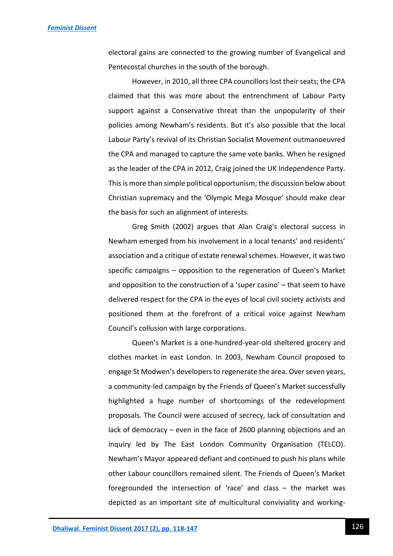electoral gains are connected to the growing number of Evangelical and Pentecostal churches in the south of the borough.

However, in 2010, all three CPA councillors lost their seats; the CPA claimed that this was more about the entrenchment of Labour Party support against a Conservative threat than the unpopularity of their policies among Newham's residents. But it's also possible that the local Labour Party's revival of its Christian Socialist Movement outmanoeuvred the CPA and managed to capture the same vote banks. When he resigned as the leader of the CPA in 2012, Craig joined the UK Independence Party. This is more than simple political opportunism; the discussion below about Christian supremacy and the 'Olympic Mega Mosque' should make clear the basis for such an alignment of interests.

Greg Smith (2002) argues that Alan Craig's electoral success in Newham emerged from his involvement in a local tenants' and residents' association and a critique of estate renewal schemes. However, it was two specific campaigns – opposition to the regeneration of Queen's Market and opposition to the construction of a 'super casino' – that seem to have delivered respect for the CPA in the eyes of local civil society activists and positioned them at the forefront of a critical voice against Newham Council's collusion with large corporations.

Queen's Market is a one-hundred-year-old sheltered grocery and clothes market in east London. In 2003, Newham Council proposed to engage St Modwen's developers to regenerate the area. Over seven years, a community-led campaign by the Friends of Queen's Market successfully highlighted a huge number of shortcomings of the redevelopment proposals. The Council were accused of secrecy, lack of consultation and lack of democracy – even in the face of 2600 planning objections and an inquiry led by The East London Community Organisation (TELCO). Newham's Mayor appeared defiant and continued to push his plans while other Labour councillors remained silent. The Friends of Queen's Market foregrounded the intersection of 'race' and class – the market was depicted as an important site of multicultural conviviality and working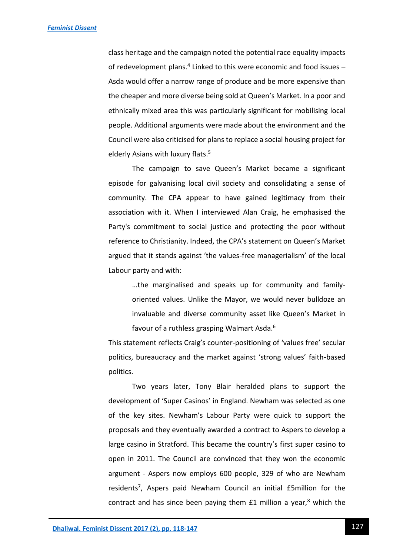class heritage and the campaign noted the potential race equality impacts of redevelopment plans.<sup>4</sup> Linked to this were economic and food issues -Asda would offer a narrow range of produce and be more expensive than the cheaper and more diverse being sold at Queen's Market. In a poor and ethnically mixed area this was particularly significant for mobilising local people. Additional arguments were made about the environment and the Council were also criticised for plans to replace a social housing project for elderly Asians with luxury flats.<sup>5</sup>

The campaign to save Queen's Market became a significant episode for galvanising local civil society and consolidating a sense of community. The CPA appear to have gained legitimacy from their association with it. When I interviewed Alan Craig, he emphasised the Party's commitment to social justice and protecting the poor without reference to Christianity. Indeed, the CPA's statement on Queen's Market argued that it stands against 'the values-free managerialism' of the local Labour party and with:

> …the marginalised and speaks up for community and familyoriented values. Unlike the Mayor, we would never bulldoze an invaluable and diverse community asset like Queen's Market in favour of a ruthless grasping Walmart Asda.<sup>6</sup>

This statement reflects Craig's counter-positioning of 'values free' secular politics, bureaucracy and the market against 'strong values' faith-based politics.

Two years later, Tony Blair heralded plans to support the development of 'Super Casinos' in England. Newham was selected as one of the key sites. Newham's Labour Party were quick to support the proposals and they eventually awarded a contract to Aspers to develop a large casino in Stratford. This became the country's first super casino to open in 2011. The Council are convinced that they won the economic argument - Aspers now employs 600 people, 329 of who are Newham residents<sup>7</sup>, Aspers paid Newham Council an initial £5million for the contract and has since been paying them  $E1$  million a year,<sup>8</sup> which the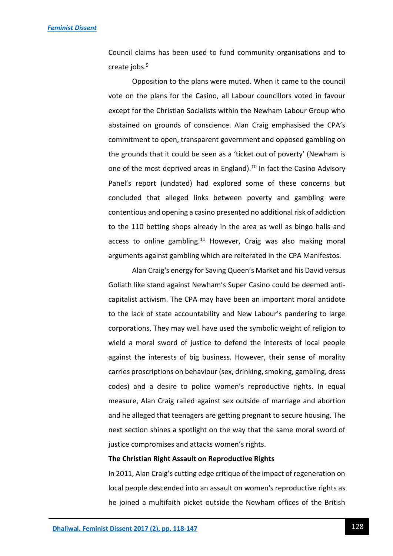Council claims has been used to fund community organisations and to create jobs.<sup>9</sup>

Opposition to the plans were muted. When it came to the council vote on the plans for the Casino, all Labour councillors voted in favour except for the Christian Socialists within the Newham Labour Group who abstained on grounds of conscience. Alan Craig emphasised the CPA's commitment to open, transparent government and opposed gambling on the grounds that it could be seen as a 'ticket out of poverty' (Newham is one of the most deprived areas in England).<sup>10</sup> In fact the Casino Advisory Panel's report (undated) had explored some of these concerns but concluded that alleged links between poverty and gambling were contentious and opening a casino presented no additional risk of addiction to the 110 betting shops already in the area as well as bingo halls and access to online gambling. $11$  However, Craig was also making moral arguments against gambling which are reiterated in the CPA Manifestos.

Alan Craig's energy for Saving Queen's Market and his David versus Goliath like stand against Newham's Super Casino could be deemed anticapitalist activism. The CPA may have been an important moral antidote to the lack of state accountability and New Labour's pandering to large corporations. They may well have used the symbolic weight of religion to wield a moral sword of justice to defend the interests of local people against the interests of big business. However, their sense of morality carries proscriptions on behaviour (sex, drinking, smoking, gambling, dress codes) and a desire to police women's reproductive rights. In equal measure, Alan Craig railed against sex outside of marriage and abortion and he alleged that teenagers are getting pregnant to secure housing. The next section shines a spotlight on the way that the same moral sword of justice compromises and attacks women's rights.

#### **The Christian Right Assault on Reproductive Rights**

In 2011, Alan Craig's cutting edge critique of the impact of regeneration on local people descended into an assault on women's reproductive rights as he joined a multifaith picket outside the Newham offices of the British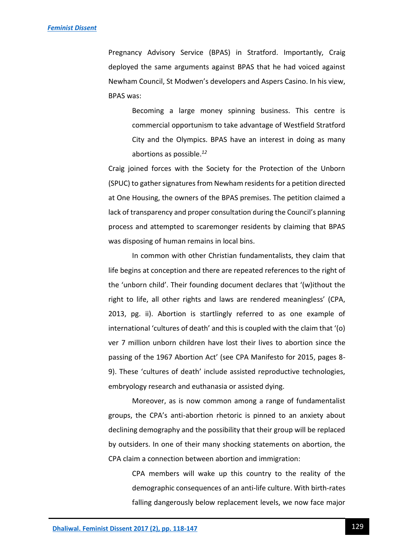Pregnancy Advisory Service (BPAS) in Stratford. Importantly, Craig deployed the same arguments against BPAS that he had voiced against Newham Council, St Modwen's developers and Aspers Casino. In his view, BPAS was:

Becoming a large money spinning business. This centre is commercial opportunism to take advantage of Westfield Stratford City and the Olympics. BPAS have an interest in doing as many abortions as possible.*<sup>12</sup>*

Craig joined forces with the Society for the Protection of the Unborn (SPUC) to gather signatures from Newham residents for a petition directed at One Housing, the owners of the BPAS premises. The petition claimed a lack of transparency and proper consultation during the Council's planning process and attempted to scaremonger residents by claiming that BPAS was disposing of human remains in local bins.

In common with other Christian fundamentalists, they claim that life begins at conception and there are repeated references to the right of the 'unborn child'. Their founding document declares that '(w)ithout the right to life, all other rights and laws are rendered meaningless' (CPA, 2013, pg. ii). Abortion is startlingly referred to as one example of international 'cultures of death' and this is coupled with the claim that '(o) ver 7 million unborn children have lost their lives to abortion since the passing of the 1967 Abortion Act' (see CPA Manifesto for 2015, pages 8- 9). These 'cultures of death' include assisted reproductive technologies, embryology research and euthanasia or assisted dying.

Moreover, as is now common among a range of fundamentalist groups, the CPA's anti-abortion rhetoric is pinned to an anxiety about declining demography and the possibility that their group will be replaced by outsiders. In one of their many shocking statements on abortion, the CPA claim a connection between abortion and immigration:

> CPA members will wake up this country to the reality of the demographic consequences of an anti-life culture. With birth-rates falling dangerously below replacement levels, we now face major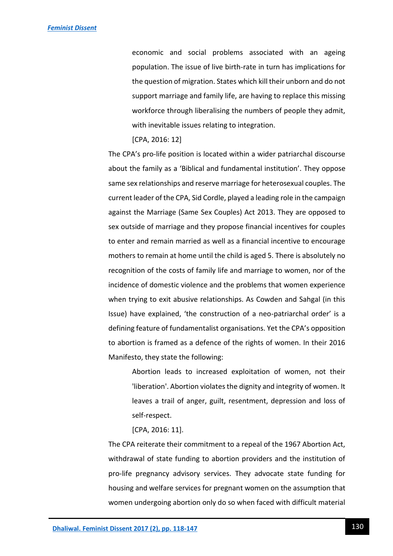economic and social problems associated with an ageing population. The issue of live birth-rate in turn has implications for the question of migration. States which kill their unborn and do not support marriage and family life, are having to replace this missing workforce through liberalising the numbers of people they admit, with inevitable issues relating to integration.

#### [CPA, 2016: 12]

The CPA's pro-life position is located within a wider patriarchal discourse about the family as a 'Biblical and fundamental institution'. They oppose same sex relationships and reserve marriage for heterosexual couples. The current leader of the CPA, Sid Cordle, played a leading role in the campaign against the Marriage (Same Sex Couples) Act 2013. They are opposed to sex outside of marriage and they propose financial incentives for couples to enter and remain married as well as a financial incentive to encourage mothers to remain at home until the child is aged 5. There is absolutely no recognition of the costs of family life and marriage to women, nor of the incidence of domestic violence and the problems that women experience when trying to exit abusive relationships. As Cowden and Sahgal (in this Issue) have explained, 'the construction of a neo-patriarchal order' is a defining feature of fundamentalist organisations. Yet the CPA's opposition to abortion is framed as a defence of the rights of women. In their 2016 Manifesto, they state the following:

Abortion leads to increased exploitation of women, not their 'liberation'. Abortion violates the dignity and integrity of women. It leaves a trail of anger, guilt, resentment, depression and loss of self-respect.

#### [CPA, 2016: 11].

The CPA reiterate their commitment to a repeal of the 1967 Abortion Act, withdrawal of state funding to abortion providers and the institution of pro-life pregnancy advisory services. They advocate state funding for housing and welfare services for pregnant women on the assumption that women undergoing abortion only do so when faced with difficult material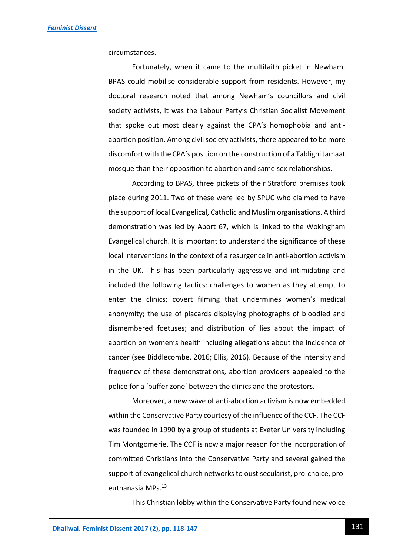circumstances.

Fortunately, when it came to the multifaith picket in Newham, BPAS could mobilise considerable support from residents. However, my doctoral research noted that among Newham's councillors and civil society activists, it was the Labour Party's Christian Socialist Movement that spoke out most clearly against the CPA's homophobia and antiabortion position. Among civil society activists, there appeared to be more discomfort with the CPA's position on the construction of a Tablighi Jamaat mosque than their opposition to abortion and same sex relationships.

According to BPAS, three pickets of their Stratford premises took place during 2011. Two of these were led by SPUC who claimed to have the support of local Evangelical, Catholic and Muslim organisations. A third demonstration was led by Abort 67, which is linked to the Wokingham Evangelical church. It is important to understand the significance of these local interventions in the context of a resurgence in anti-abortion activism in the UK. This has been particularly aggressive and intimidating and included the following tactics: challenges to women as they attempt to enter the clinics; covert filming that undermines women's medical anonymity; the use of placards displaying photographs of bloodied and dismembered foetuses; and distribution of lies about the impact of abortion on women's health including allegations about the incidence of cancer (see Biddlecombe, 2016; Ellis, 2016). Because of the intensity and frequency of these demonstrations, abortion providers appealed to the police for a 'buffer zone' between the clinics and the protestors.

Moreover, a new wave of anti-abortion activism is now embedded within the Conservative Party courtesy of the influence of the CCF. The CCF was founded in 1990 by a group of students at Exeter University including Tim Montgomerie. The CCF is now a major reason for the incorporation of committed Christians into the Conservative Party and several gained the support of evangelical church networks to oust secularist, pro-choice, proeuthanasia MPs.<sup>13</sup>

This Christian lobby within the Conservative Party found new voice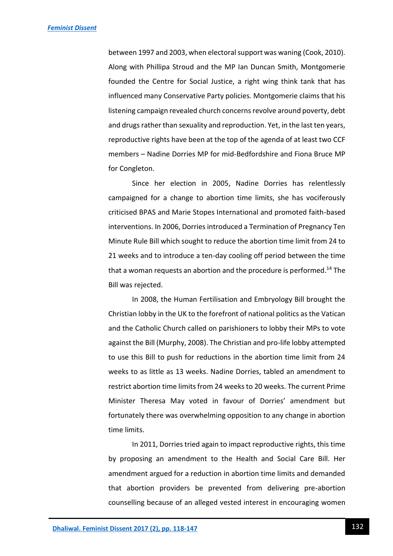between 1997 and 2003, when electoral support was waning (Cook, 2010). Along with Phillipa Stroud and the MP Ian Duncan Smith, Montgomerie founded the Centre for Social Justice, a right wing think tank that has influenced many Conservative Party policies. Montgomerie claims that his listening campaign revealed church concerns revolve around poverty, debt and drugs rather than sexuality and reproduction. Yet, in the last ten years, reproductive rights have been at the top of the agenda of at least two CCF members – Nadine Dorries MP for mid-Bedfordshire and Fiona Bruce MP for Congleton.

Since her election in 2005, Nadine Dorries has relentlessly campaigned for a change to abortion time limits, she has vociferously criticised BPAS and Marie Stopes International and promoted faith-based interventions. In 2006, Dorries introduced a Termination of Pregnancy Ten Minute Rule Bill which sought to reduce the abortion time limit from 24 to 21 weeks and to introduce a ten-day cooling off period between the time that a woman requests an abortion and the procedure is performed.<sup>14</sup> The Bill was rejected.

In 2008, the Human Fertilisation and Embryology Bill brought the Christian lobby in the UK to the forefront of national politics as the Vatican and the Catholic Church called on parishioners to lobby their MPs to vote against the Bill (Murphy, 2008). The Christian and pro-life lobby attempted to use this Bill to push for reductions in the abortion time limit from 24 weeks to as little as 13 weeks. Nadine Dorries, tabled an amendment to restrict abortion time limits from 24 weeks to 20 weeks. The current Prime Minister Theresa May voted in favour of Dorries' amendment but fortunately there was overwhelming opposition to any change in abortion time limits.

In 2011, Dorries tried again to impact reproductive rights, this time by proposing an amendment to the Health and Social Care Bill. Her amendment argued for a reduction in abortion time limits and demanded that abortion providers be prevented from delivering pre-abortion counselling because of an alleged vested interest in encouraging women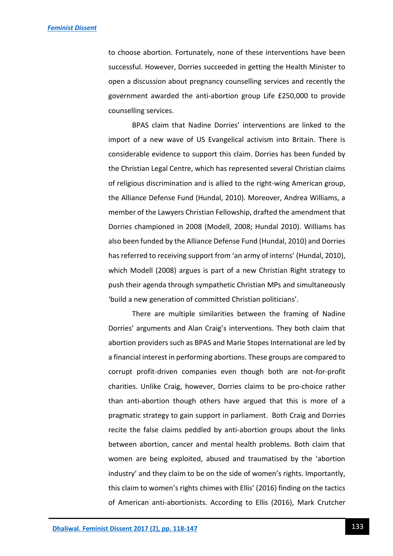to choose abortion. Fortunately, none of these interventions have been successful. However, Dorries succeeded in getting the Health Minister to open a discussion about pregnancy counselling services and recently the government awarded the anti-abortion group Life £250,000 to provide counselling services.

BPAS claim that Nadine Dorries' interventions are linked to the import of a new wave of US Evangelical activism into Britain. There is considerable evidence to support this claim. Dorries has been funded by the Christian Legal Centre, which has represented several Christian claims of religious discrimination and is allied to the right-wing American group, the Alliance Defense Fund (Hundal, 2010). Moreover, Andrea Williams, a member of the Lawyers Christian Fellowship, drafted the amendment that Dorries championed in 2008 (Modell, 2008; Hundal 2010). Williams has also been funded by the Alliance Defense Fund (Hundal, 2010) and Dorries has referred to receiving support from 'an army of interns' (Hundal, 2010), which Modell (2008) argues is part of a new Christian Right strategy to push their agenda through sympathetic Christian MPs and simultaneously 'build a new generation of committed Christian politicians'.

There are multiple similarities between the framing of Nadine Dorries' arguments and Alan Craig's interventions. They both claim that abortion providers such as BPAS and Marie Stopes International are led by a financial interest in performing abortions. These groups are compared to corrupt profit-driven companies even though both are not-for-profit charities. Unlike Craig, however, Dorries claims to be pro-choice rather than anti-abortion though others have argued that this is more of a pragmatic strategy to gain support in parliament. Both Craig and Dorries recite the false claims peddled by anti-abortion groups about the links between abortion, cancer and mental health problems. Both claim that women are being exploited, abused and traumatised by the 'abortion industry' and they claim to be on the side of women's rights. Importantly, this claim to women's rights chimes with Ellis' (2016) finding on the tactics of American anti-abortionists. According to Ellis (2016), Mark Crutcher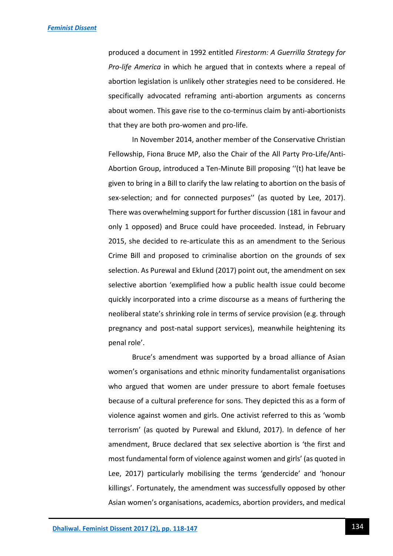produced a document in 1992 entitled *Firestorm: A Guerrilla Strategy for Pro-life America* in which he argued that in contexts where a repeal of abortion legislation is unlikely other strategies need to be considered. He specifically advocated reframing anti-abortion arguments as concerns about women. This gave rise to the co-terminus claim by anti-abortionists that they are both pro-women and pro-life.

In November 2014, another member of the Conservative Christian Fellowship, Fiona Bruce MP, also the Chair of the All Party Pro-Life/Anti-Abortion Group, introduced a Ten-Minute Bill proposing ''(t) hat leave be given to bring in a Bill to clarify the law relating to abortion on the basis of sex-selection; and for connected purposes'' (as quoted by Lee, 2017). There was overwhelming support for further discussion (181 in favour and only 1 opposed) and Bruce could have proceeded. Instead, in February 2015, she decided to re-articulate this as an amendment to the Serious Crime Bill and proposed to criminalise abortion on the grounds of sex selection. As Purewal and Eklund (2017) point out, the amendment on sex selective abortion 'exemplified how a public health issue could become quickly incorporated into a crime discourse as a means of furthering the neoliberal state's shrinking role in terms of service provision (e.g. through pregnancy and post-natal support services), meanwhile heightening its penal role'.

Bruce's amendment was supported by a broad alliance of Asian women's organisations and ethnic minority fundamentalist organisations who argued that women are under pressure to abort female foetuses because of a cultural preference for sons. They depicted this as a form of violence against women and girls. One activist referred to this as 'womb terrorism' (as quoted by Purewal and Eklund, 2017). In defence of her amendment, Bruce declared that sex selective abortion is 'the first and most fundamental form of violence against women and girls' (as quoted in Lee, 2017) particularly mobilising the terms 'gendercide' and 'honour killings'. Fortunately, the amendment was successfully opposed by other Asian women's organisations, academics, abortion providers, and medical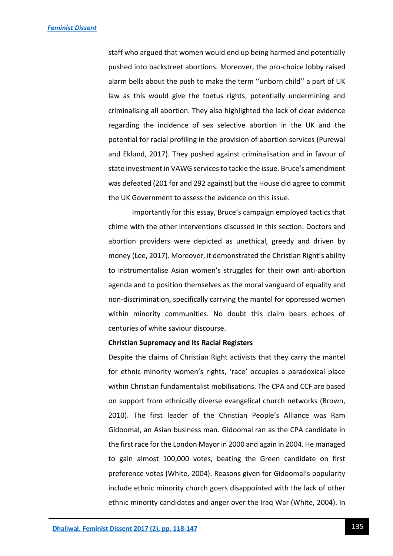staff who argued that women would end up being harmed and potentially pushed into backstreet abortions. Moreover, the pro-choice lobby raised alarm bells about the push to make the term ''unborn child'' a part of UK law as this would give the foetus rights, potentially undermining and criminalising all abortion. They also highlighted the lack of clear evidence regarding the incidence of sex selective abortion in the UK and the potential for racial profiling in the provision of abortion services (Purewal and Eklund, 2017). They pushed against criminalisation and in favour of state investment in VAWG services to tackle the issue. Bruce's amendment was defeated (201 for and 292 against) but the House did agree to commit the UK Government to assess the evidence on this issue.

Importantly for this essay, Bruce's campaign employed tactics that chime with the other interventions discussed in this section. Doctors and abortion providers were depicted as unethical, greedy and driven by money (Lee, 2017). Moreover, it demonstrated the Christian Right's ability to instrumentalise Asian women's struggles for their own anti-abortion agenda and to position themselves as the moral vanguard of equality and non-discrimination, specifically carrying the mantel for oppressed women within minority communities. No doubt this claim bears echoes of centuries of white saviour discourse.

#### **Christian Supremacy and its Racial Registers**

Despite the claims of Christian Right activists that they carry the mantel for ethnic minority women's rights, 'race' occupies a paradoxical place within Christian fundamentalist mobilisations. The CPA and CCF are based on support from ethnically diverse evangelical church networks (Brown, 2010). The first leader of the Christian People's Alliance was Ram Gidoomal, an Asian business man. Gidoomal ran as the CPA candidate in the first race for the London Mayor in 2000 and again in 2004. He managed to gain almost 100,000 votes, beating the Green candidate on first preference votes (White, 2004). Reasons given for Gidoomal's popularity include ethnic minority church goers disappointed with the lack of other ethnic minority candidates and anger over the Iraq War (White, 2004). In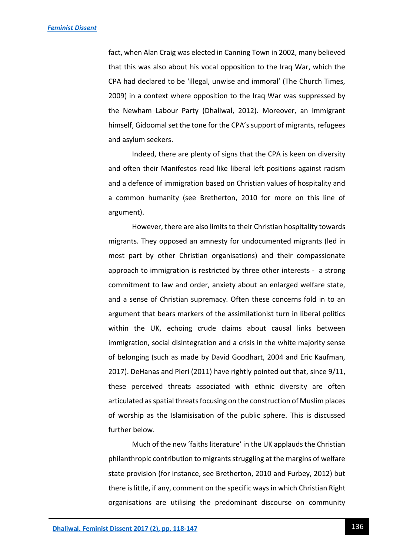fact, when Alan Craig was elected in Canning Town in 2002, many believed that this was also about his vocal opposition to the Iraq War, which the CPA had declared to be 'illegal, unwise and immoral' (The Church Times, 2009) in a context where opposition to the Iraq War was suppressed by the Newham Labour Party (Dhaliwal, 2012). Moreover, an immigrant himself, Gidoomal set the tone for the CPA's support of migrants, refugees and asylum seekers.

Indeed, there are plenty of signs that the CPA is keen on diversity and often their Manifestos read like liberal left positions against racism and a defence of immigration based on Christian values of hospitality and a common humanity (see Bretherton, 2010 for more on this line of argument).

However, there are also limits to their Christian hospitality towards migrants. They opposed an amnesty for undocumented migrants (led in most part by other Christian organisations) and their compassionate approach to immigration is restricted by three other interests - a strong commitment to law and order, anxiety about an enlarged welfare state, and a sense of Christian supremacy. Often these concerns fold in to an argument that bears markers of the assimilationist turn in liberal politics within the UK, echoing crude claims about causal links between immigration, social disintegration and a crisis in the white majority sense of belonging (such as made by David Goodhart, 2004 and Eric Kaufman, 2017). DeHanas and Pieri (2011) have rightly pointed out that, since 9/11, these perceived threats associated with ethnic diversity are often articulated as spatial threats focusing on the construction of Muslim places of worship as the Islamisisation of the public sphere. This is discussed further below.

Much of the new 'faiths literature' in the UK applauds the Christian philanthropic contribution to migrants struggling at the margins of welfare state provision (for instance, see Bretherton, 2010 and Furbey, 2012) but there is little, if any, comment on the specific ways in which Christian Right organisations are utilising the predominant discourse on community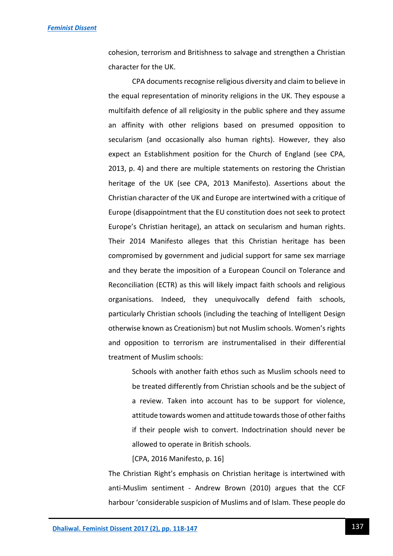cohesion, terrorism and Britishness to salvage and strengthen a Christian character for the UK.

CPA documents recognise religious diversity and claim to believe in the equal representation of minority religions in the UK. They espouse a multifaith defence of all religiosity in the public sphere and they assume an affinity with other religions based on presumed opposition to secularism (and occasionally also human rights). However, they also expect an Establishment position for the Church of England (see CPA, 2013, p. 4) and there are multiple statements on restoring the Christian heritage of the UK (see CPA, 2013 Manifesto). Assertions about the Christian character of the UK and Europe are intertwined with a critique of Europe (disappointment that the EU constitution does not seek to protect Europe's Christian heritage), an attack on secularism and human rights. Their 2014 Manifesto alleges that this Christian heritage has been compromised by government and judicial support for same sex marriage and they berate the imposition of a European Council on Tolerance and Reconciliation (ECTR) as this will likely impact faith schools and religious organisations. Indeed, they unequivocally defend faith schools, particularly Christian schools (including the teaching of Intelligent Design otherwise known as Creationism) but not Muslim schools. Women's rights and opposition to terrorism are instrumentalised in their differential treatment of Muslim schools:

Schools with another faith ethos such as Muslim schools need to be treated differently from Christian schools and be the subject of a review. Taken into account has to be support for violence, attitude towards women and attitude towards those of other faiths if their people wish to convert. Indoctrination should never be allowed to operate in British schools.

[CPA, 2016 Manifesto, p. 16]

The Christian Right's emphasis on Christian heritage is intertwined with anti-Muslim sentiment - Andrew Brown (2010) argues that the CCF harbour 'considerable suspicion of Muslims and of Islam. These people do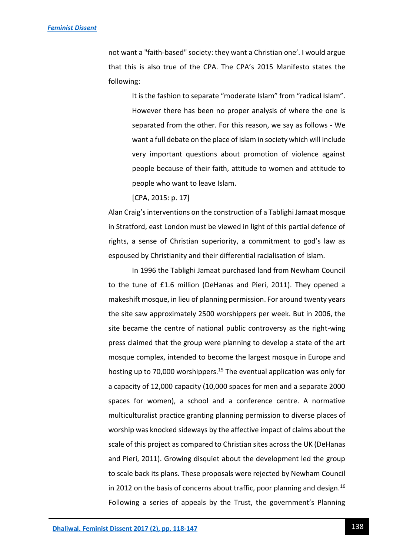not want a "faith-based" society: they want a Christian one'. I would argue that this is also true of the CPA. The CPA's 2015 Manifesto states the following:

It is the fashion to separate "moderate Islam" from "radical Islam". However there has been no proper analysis of where the one is separated from the other. For this reason, we say as follows - We want a full debate on the place of Islam in society which will include very important questions about promotion of violence against people because of their faith, attitude to women and attitude to people who want to leave Islam.

[CPA, 2015: p. 17]

Alan Craig's interventions on the construction of a Tablighi Jamaat mosque in Stratford, east London must be viewed in light of this partial defence of rights, a sense of Christian superiority, a commitment to god's law as espoused by Christianity and their differential racialisation of Islam.

In 1996 the Tablighi Jamaat purchased land from Newham Council to the tune of £1.6 million (DeHanas and Pieri, 2011). They opened a makeshift mosque, in lieu of planning permission. For around twenty years the site saw approximately 2500 worshippers per week. But in 2006, the site became the centre of national public controversy as the right-wing press claimed that the group were planning to develop a state of the art mosque complex, intended to become the largest mosque in Europe and hosting up to 70,000 worshippers.<sup>15</sup> The eventual application was only for a capacity of 12,000 capacity (10,000 spaces for men and a separate 2000 spaces for women), a school and a conference centre. A normative multiculturalist practice granting planning permission to diverse places of worship was knocked sideways by the affective impact of claims about the scale of this project as compared to Christian sites across the UK (DeHanas and Pieri, 2011). Growing disquiet about the development led the group to scale back its plans. These proposals were rejected by Newham Council in 2012 on the basis of concerns about traffic, poor planning and design.<sup>16</sup> Following a series of appeals by the Trust, the government's Planning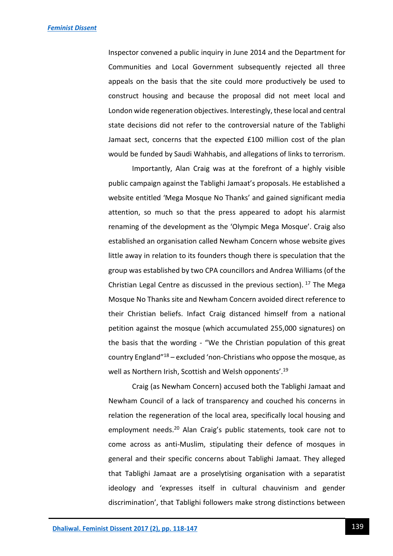Inspector convened a public inquiry in June 2014 and the Department for Communities and Local Government subsequently rejected all three appeals on the basis that the site could more productively be used to construct housing and because the proposal did not meet local and London wide regeneration objectives. Interestingly, these local and central state decisions did not refer to the controversial nature of the Tablighi Jamaat sect, concerns that the expected £100 million cost of the plan would be funded by Saudi Wahhabis, and allegations of links to terrorism.

Importantly, Alan Craig was at the forefront of a highly visible public campaign against the Tablighi Jamaat's proposals. He established a website entitled 'Mega Mosque No Thanks' and gained significant media attention, so much so that the press appeared to adopt his alarmist renaming of the development as the 'Olympic Mega Mosque'. Craig also established an organisation called Newham Concern whose website gives little away in relation to its founders though there is speculation that the group was established by two CPA councillors and Andrea Williams (of the Christian Legal Centre as discussed in the previous section).  $17$  The Mega Mosque No Thanks site and Newham Concern avoided direct reference to their Christian beliefs. Infact Craig distanced himself from a national petition against the mosque (which accumulated 255,000 signatures) on the basis that the wording - "We the Christian population of this great country England"<sup>18</sup> – excluded 'non-Christians who oppose the mosque, as well as Northern Irish, Scottish and Welsh opponents'.<sup>19</sup>

Craig (as Newham Concern) accused both the Tablighi Jamaat and Newham Council of a lack of transparency and couched his concerns in relation the regeneration of the local area, specifically local housing and employment needs.<sup>20</sup> Alan Craig's public statements, took care not to come across as anti-Muslim, stipulating their defence of mosques in general and their specific concerns about Tablighi Jamaat. They alleged that Tablighi Jamaat are a proselytising organisation with a separatist ideology and 'expresses itself in cultural chauvinism and gender discrimination', that Tablighi followers make strong distinctions between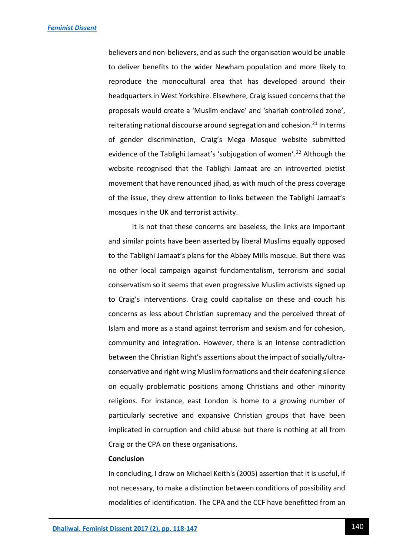believers and non-believers, and as such the organisation would be unable to deliver benefits to the wider Newham population and more likely to reproduce the monocultural area that has developed around their headquarters in West Yorkshire. Elsewhere, Craig issued concerns that the proposals would create a 'Muslim enclave' and 'shariah controlled zone', reiterating national discourse around segregation and cohesion. $^{21}$  In terms of gender discrimination, Craig's Mega Mosque website submitted evidence of the Tablighi Jamaat's 'subjugation of women'.<sup>22</sup> Although the website recognised that the Tablighi Jamaat are an introverted pietist movement that have renounced jihad, as with much of the press coverage of the issue, they drew attention to links between the Tablighi Jamaat's mosques in the UK and terrorist activity.

It is not that these concerns are baseless, the links are important and similar points have been asserted by liberal Muslims equally opposed to the Tablighi Jamaat's plans for the Abbey Mills mosque. But there was no other local campaign against fundamentalism, terrorism and social conservatism so it seems that even progressive Muslim activists signed up to Craig's interventions. Craig could capitalise on these and couch his concerns as less about Christian supremacy and the perceived threat of Islam and more as a stand against terrorism and sexism and for cohesion, community and integration. However, there is an intense contradiction between the Christian Right's assertions about the impact of socially/ultraconservative and right wing Muslim formations and their deafening silence on equally problematic positions among Christians and other minority religions. For instance, east London is home to a growing number of particularly secretive and expansive Christian groups that have been implicated in corruption and child abuse but there is nothing at all from Craig or the CPA on these organisations.

#### **Conclusion**

In concluding, I draw on Michael Keith's (2005) assertion that it is useful, if not necessary, to make a distinction between conditions of possibility and modalities of identification. The CPA and the CCF have benefitted from an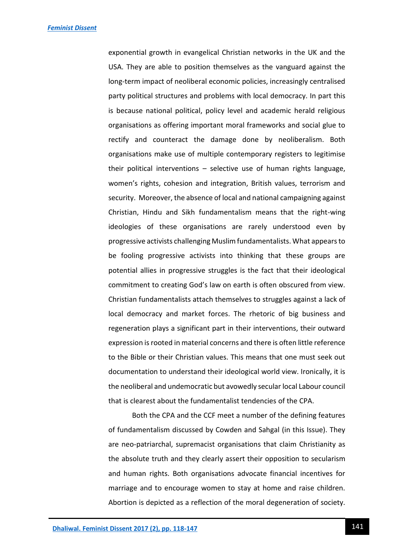exponential growth in evangelical Christian networks in the UK and the USA. They are able to position themselves as the vanguard against the long-term impact of neoliberal economic policies, increasingly centralised party political structures and problems with local democracy. In part this is because national political, policy level and academic herald religious organisations as offering important moral frameworks and social glue to rectify and counteract the damage done by neoliberalism. Both organisations make use of multiple contemporary registers to legitimise their political interventions – selective use of human rights language, women's rights, cohesion and integration, British values, terrorism and security. Moreover, the absence of local and national campaigning against Christian, Hindu and Sikh fundamentalism means that the right-wing ideologies of these organisations are rarely understood even by progressive activists challenging Muslim fundamentalists. What appears to be fooling progressive activists into thinking that these groups are potential allies in progressive struggles is the fact that their ideological commitment to creating God's law on earth is often obscured from view. Christian fundamentalists attach themselves to struggles against a lack of local democracy and market forces. The rhetoric of big business and regeneration plays a significant part in their interventions, their outward expression is rooted in material concerns and there is often little reference to the Bible or their Christian values. This means that one must seek out documentation to understand their ideological world view. Ironically, it is the neoliberal and undemocratic but avowedly secular local Labour council that is clearest about the fundamentalist tendencies of the CPA.

Both the CPA and the CCF meet a number of the defining features of fundamentalism discussed by Cowden and Sahgal (in this Issue). They are neo-patriarchal, supremacist organisations that claim Christianity as the absolute truth and they clearly assert their opposition to secularism and human rights. Both organisations advocate financial incentives for marriage and to encourage women to stay at home and raise children. Abortion is depicted as a reflection of the moral degeneration of society.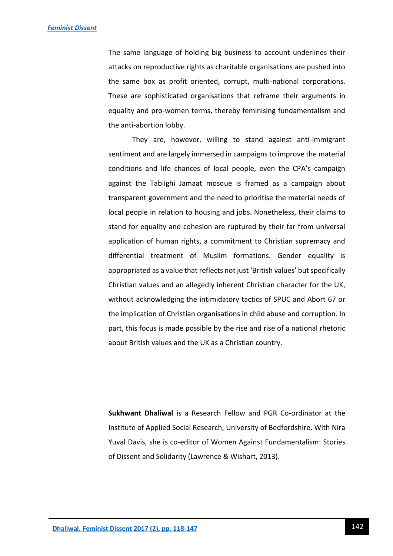The same language of holding big business to account underlines their attacks on reproductive rights as charitable organisations are pushed into the same box as profit oriented, corrupt, multi-national corporations. These are sophisticated organisations that reframe their arguments in equality and pro-women terms, thereby feminising fundamentalism and the anti-abortion lobby.

They are, however, willing to stand against anti-immigrant sentiment and are largely immersed in campaigns to improve the material conditions and life chances of local people, even the CPA's campaign against the Tablighi Jamaat mosque is framed as a campaign about transparent government and the need to prioritise the material needs of local people in relation to housing and jobs. Nonetheless, their claims to stand for equality and cohesion are ruptured by their far from universal application of human rights, a commitment to Christian supremacy and differential treatment of Muslim formations. Gender equality is appropriated as a value that reflects not just 'British values' but specifically Christian values and an allegedly inherent Christian character for the UK, without acknowledging the intimidatory tactics of SPUC and Abort 67 or the implication of Christian organisations in child abuse and corruption. In part, this focus is made possible by the rise and rise of a national rhetoric about British values and the UK as a Christian country.

**Sukhwant Dhaliwal** is a Research Fellow and PGR Co-ordinator at the Institute of Applied Social Research, University of Bedfordshire. With Nira Yuval Davis, she is co-editor of Women Against Fundamentalism: Stories of Dissent and Solidarity (Lawrence & Wishart, 2013).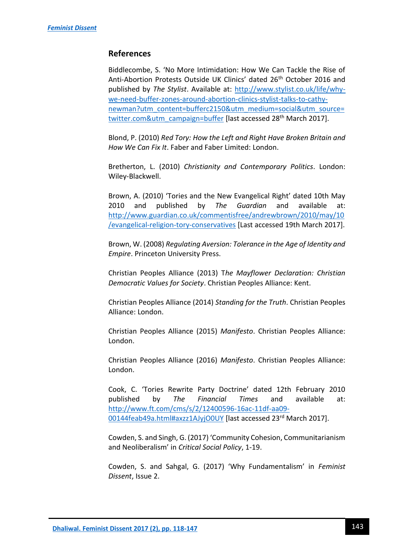# **References**

Biddlecombe, S. 'No More Intimidation: How We Can Tackle the Rise of Anti-Abortion Protests Outside UK Clinics' dated 26<sup>th</sup> October 2016 and published by *The Stylist*. Available at: [http://www.stylist.co.uk/life/why](http://www.stylist.co.uk/life/why-we-need-buffer-zones-around-abortion-clinics-stylist-talks-to-cathy-newman?utm_content=bufferc2150&utm_medium=social&utm_source=twitter.com&utm_campaign=buffer)[we-need-buffer-zones-around-abortion-clinics-stylist-talks-to-cathy](http://www.stylist.co.uk/life/why-we-need-buffer-zones-around-abortion-clinics-stylist-talks-to-cathy-newman?utm_content=bufferc2150&utm_medium=social&utm_source=twitter.com&utm_campaign=buffer)[newman?utm\\_content=bufferc2150&utm\\_medium=social&utm\\_source=](http://www.stylist.co.uk/life/why-we-need-buffer-zones-around-abortion-clinics-stylist-talks-to-cathy-newman?utm_content=bufferc2150&utm_medium=social&utm_source=twitter.com&utm_campaign=buffer) [twitter.com&utm\\_campaign=buffer](http://www.stylist.co.uk/life/why-we-need-buffer-zones-around-abortion-clinics-stylist-talks-to-cathy-newman?utm_content=bufferc2150&utm_medium=social&utm_source=twitter.com&utm_campaign=buffer) [last accessed 28<sup>th</sup> March 2017].

Blond, P. (2010) *Red Tory: How the Left and Right Have Broken Britain and How We Can Fix It*. Faber and Faber Limited: London.

Bretherton, L. (2010) *Christianity and Contemporary Politics*. London: Wiley-Blackwell.

Brown, A. (2010) 'Tories and the New Evangelical Right' dated 10th May 2010 and published by *The Guardian* and available at: [http://www.guardian.co.uk/commentisfree/andrewbrown/2010/may/10](http://www.guardian.co.uk/commentisfree/andrewbrown/2010/may/10/evangelical-religion-tory-conservatives) [/evangelical-religion-tory-conservatives](http://www.guardian.co.uk/commentisfree/andrewbrown/2010/may/10/evangelical-religion-tory-conservatives) [Last accessed 19th March 2017].

Brown, W. (2008) *Regulating Aversion: Tolerance in the Age of Identity and Empire*. Princeton University Press.

Christian Peoples Alliance (2013) T*he Mayflower Declaration: Christian Democratic Values for Society*. Christian Peoples Alliance: Kent.

Christian Peoples Alliance (2014) *Standing for the Truth*. Christian Peoples Alliance: London.

Christian Peoples Alliance (2015) *Manifesto*. Christian Peoples Alliance: London.

Christian Peoples Alliance (2016) *Manifesto*. Christian Peoples Alliance: London.

Cook, C. 'Tories Rewrite Party Doctrine' dated 12th February 2010 published by *The Financial Times* and available at: [http://www.ft.com/cms/s/2/12400596-16ac-11df-aa09-](http://www.ft.com/cms/s/2/12400596-16ac-11df-aa09-00144feab49a.html#axzz1AJyjO0UY) [00144feab49a.html#axzz1AJyjO0UY](http://www.ft.com/cms/s/2/12400596-16ac-11df-aa09-00144feab49a.html#axzz1AJyjO0UY) [last accessed 23rd March 2017].

Cowden, S. and Singh, G. (2017) 'Community Cohesion, Communitarianism and Neoliberalism' in *Critical Social Policy*, 1-19.

Cowden, S. and Sahgal, G. (2017) 'Why Fundamentalism' in *Feminist Dissent*, Issue 2.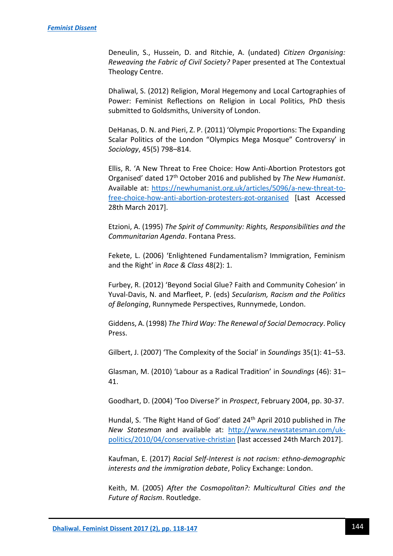Deneulin, S., Hussein, D. and Ritchie, A. (undated) *Citizen Organising: Reweaving the Fabric of Civil Society?* Paper presented at The Contextual Theology Centre.

Dhaliwal, S. (2012) Religion, Moral Hegemony and Local Cartographies of Power: Feminist Reflections on Religion in Local Politics, PhD thesis submitted to Goldsmiths, University of London.

DeHanas, D. N. and Pieri, Z. P. (2011) 'Olympic Proportions: The Expanding Scalar Politics of the London "Olympics Mega Mosque" Controversy' in *Sociology*, 45(5) 798–814.

Ellis, R. 'A New Threat to Free Choice: How Anti-Abortion Protestors got Organised' dated 17th October 2016 and published by *The New Humanist*. Available at: [https://newhumanist.org.uk/articles/5096/a-new-threat-to](https://newhumanist.org.uk/articles/5096/a-new-threat-to-free-choice-how-anti-abortion-protesters-got-organised)[free-choice-how-anti-abortion-protesters-got-organised](https://newhumanist.org.uk/articles/5096/a-new-threat-to-free-choice-how-anti-abortion-protesters-got-organised) [Last Accessed 28th March 2017].

Etzioni, A. (1995) *The Spirit of Community: Rights, Responsibilities and the Communitarian Agenda*. Fontana Press.

Fekete, L. (2006) 'Enlightened Fundamentalism? Immigration, Feminism and the Right' in *Race & Class* 48(2): 1.

Furbey, R. (2012) 'Beyond Social Glue? Faith and Community Cohesion' in Yuval-Davis, N. and Marfleet, P. (eds) *Secularism, Racism and the Politics of Belonging*, Runnymede Perspectives, Runnymede, London.

Giddens, A. (1998) *The Third Way: The Renewal of Social Democracy*. Policy Press.

Gilbert, J. (2007) 'The Complexity of the Social' in *Soundings* 35(1): 41–53.

Glasman, M. (2010) 'Labour as a Radical Tradition' in *Soundings* (46): 31– 41.

Goodhart, D. (2004) 'Too Diverse?' in *Prospect*, February 2004, pp. 30-37.

Hundal, S. 'The Right Hand of God' dated 24th April 2010 published in *The New Statesman* and available at: [http://www.newstatesman.com/uk](http://www.newstatesman.com/uk-politics/2010/04/conservative-christian)[politics/2010/04/conservative-christian](http://www.newstatesman.com/uk-politics/2010/04/conservative-christian) [last accessed 24th March 2017].

Kaufman, E. (2017) *Racial Self-Interest is not racism: ethno-demographic interests and the immigration debate*, Policy Exchange: London.

Keith, M. (2005) *After the Cosmopolitan?: Multicultural Cities and the Future of Racism*. Routledge.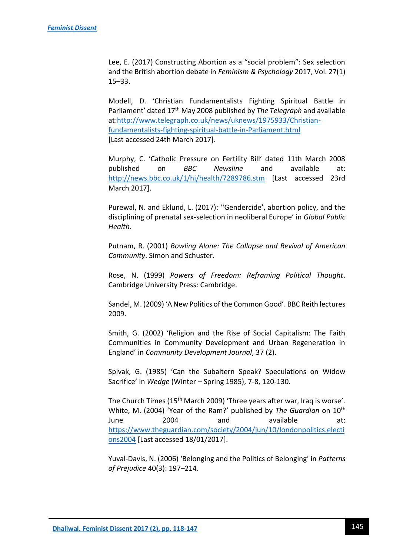Lee, E. (2017) Constructing Abortion as a "social problem": Sex selection and the British abortion debate in *Feminism & Psychology* 2017, Vol. 27(1) 15–33.

Modell, D. 'Christian Fundamentalists Fighting Spiritual Battle in Parliament' dated 17th May 2008 published by *The Telegraph* and available at[:http://www.telegraph.co.uk/news/uknews/1975933/Christian](http://www.telegraph.co.uk/news/uknews/1975933/Christian-fundamentalists-fighting-spiritual-battle-in-Parliament.html)[fundamentalists-fighting-spiritual-battle-in-Parliament.html](http://www.telegraph.co.uk/news/uknews/1975933/Christian-fundamentalists-fighting-spiritual-battle-in-Parliament.html) [Last accessed 24th March 2017].

Murphy, C. 'Catholic Pressure on Fertility Bill' dated 11th March 2008 published on *BBC Newsline* and available at: <http://news.bbc.co.uk/1/hi/health/7289786.stm> [Last accessed 23rd March 2017].

Purewal, N. and Eklund, L. (2017): ''Gendercide', abortion policy, and the disciplining of prenatal sex-selection in neoliberal Europe' in *Global Public Health*.

Putnam, R. (2001) *Bowling Alone: The Collapse and Revival of American Community*. Simon and Schuster.

Rose, N. (1999) *Powers of Freedom: Reframing Political Thought*. Cambridge University Press: Cambridge.

Sandel, M. (2009) 'A New Politics of the Common Good'. BBC Reith lectures 2009.

Smith, G. (2002) 'Religion and the Rise of Social Capitalism: The Faith Communities in Community Development and Urban Regeneration in England' in *Community Development Journal*, 37 (2).

Spivak, G. (1985) 'Can the Subaltern Speak? Speculations on Widow Sacrifice' in *Wedge* (Winter – Spring 1985), 7-8, 120-130.

The Church Times (15<sup>th</sup> March 2009) 'Three years after war, Iraq is worse'. White, M. (2004) 'Year of the Ram?' published by *The Guardian* on 10th June 2004 and available at: [https://www.theguardian.com/society/2004/jun/10/londonpolitics.electi](https://www.theguardian.com/society/2004/jun/10/londonpolitics.elections2004) [ons2004](https://www.theguardian.com/society/2004/jun/10/londonpolitics.elections2004) [Last accessed 18/01/2017].

Yuval-Davis, N. (2006) 'Belonging and the Politics of Belonging' in *Patterns of Prejudice* 40(3): 197–214.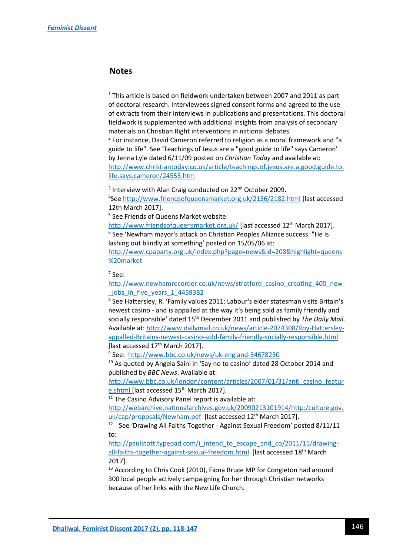## **Notes**

 $1$  This article is based on fieldwork undertaken between 2007 and 2011 as part of doctoral research. Interviewees signed consent forms and agreed to the use of extracts from their interviews in publications and presentations. This doctoral fieldwork is supplemented with additional insights from analysis of secondary materials on Christian Right interventions in national debates.

<sup>2</sup> For instance, David Cameron referred to religion as a moral framework and "a guide to life". See 'Teachings of Jesus are a "good guide to life" says Cameron' by Jenna Lyle dated 6/11/09 posted on *Christian Today* and available at: [http://www.christiantoday.co.uk/article/teachings.of.jesus.are.a.good.guide.to.](http://www.christiantoday.co.uk/article/teachings.of.jesus.are.a.good.guide.to.life.says.cameron/24555.htm) [life.says.cameron/24555.htm](http://www.christiantoday.co.uk/article/teachings.of.jesus.are.a.good.guide.to.life.says.cameron/24555.htm)

<sup>3</sup> Interview with Alan Craig conducted on 22<sup>nd</sup> October 2009.

<sup>4</sup>See<http://www.friendsofqueensmarket.org.uk/2156/2182.html> [last accessed 12th March 2017].

5 See Friends of Queens Market website:

<http://www.friendsofqueensmarket.org.uk/> [last accessed 12<sup>th</sup> March 2017]. 6 See 'Newham mayor's attack on Christian Peoples Alliance success: "He is lashing out blindly at something' posted on 15/05/06 at:

[http://www.cpaparty.org.uk/index.php?page=news&id=208&highlight=queens](http://www.cpaparty.org.uk/index.php?page=news&id=208&highlight=queens%20market) [%20market](http://www.cpaparty.org.uk/index.php?page=news&id=208&highlight=queens%20market)

7 See:

[http://www.newhamrecorder.co.uk/news/stratford\\_casino\\_creating\\_400\\_new](http://www.newhamrecorder.co.uk/news/stratford_casino_creating_400_new_jobs_in_five_years_1_4459382) jobs in five years 1 4459382

8 See Hattersley, R. 'Family values 2011: Labour's elder statesman visits Britain's newest casino - and is appalled at the way it's being sold as family friendly and socially responsible' dated 15<sup>th</sup> December 2011 and published by *The Daily Mail*. Available at[: http://www.dailymail.co.uk/news/article-2074308/Roy-Hattersley](http://www.dailymail.co.uk/news/article-2074308/Roy-Hattersley-appalled-Britains-newest-casino-sold-family-friendly-socially-responsible.html)[appalled-Britains-newest-casino-sold-family-friendly-socially-responsible.html](http://www.dailymail.co.uk/news/article-2074308/Roy-Hattersley-appalled-Britains-newest-casino-sold-family-friendly-socially-responsible.html) [last accessed 17<sup>th</sup> March 2017].

<sup>9</sup> See: <http://www.bbc.co.uk/news/uk-england-34678230>

<sup>10</sup> As quoted by Angela Saini in 'Say no to casino' dated 28 October 2014 and published by *BBC News*. Available at:

[http://www.bbc.co.uk/london/content/articles/2007/01/31/anti\\_casino\\_featur](http://www.bbc.co.uk/london/content/articles/2007/01/31/anti_casino_feature.shtml) [e.shtml](http://www.bbc.co.uk/london/content/articles/2007/01/31/anti_casino_feature.shtml) [last accessed 15<sup>th</sup> March 2017].

 $11$  The Casino Advisory Panel report is available at:

[http://webarchive.nationalarchives.gov.uk/20090213101914/http:/culture.gov.](http://webarchive.nationalarchives.gov.uk/20090213101914/http:/culture.gov.uk/cap/proposals/Newham.pdf) [uk/cap/proposals/Newham.pdf](http://webarchive.nationalarchives.gov.uk/20090213101914/http:/culture.gov.uk/cap/proposals/Newham.pdf) [last accessed 12<sup>th</sup> March 2017].

<sup>12</sup> See 'Drawing All Faiths Together - Against Sexual Freedom' posted 8/11/11 to:

[http://paulstott.typepad.com/i\\_intend\\_to\\_escape\\_and\\_co/2011/11/drawing](http://paulstott.typepad.com/i_intend_to_escape_and_co/2011/11/drawing-all-faiths-together-against-sexual-freedom.html)[all-faiths-together-against-sexual-freedom.html](http://paulstott.typepad.com/i_intend_to_escape_and_co/2011/11/drawing-all-faiths-together-against-sexual-freedom.html) [last accessed 18<sup>th</sup> March] 2017].

<sup>13</sup> According to Chris Cook (2010), Fiona Bruce MP for Congleton had around 300 local people actively campaigning for her through Christian networks because of her links with the New Life Church.